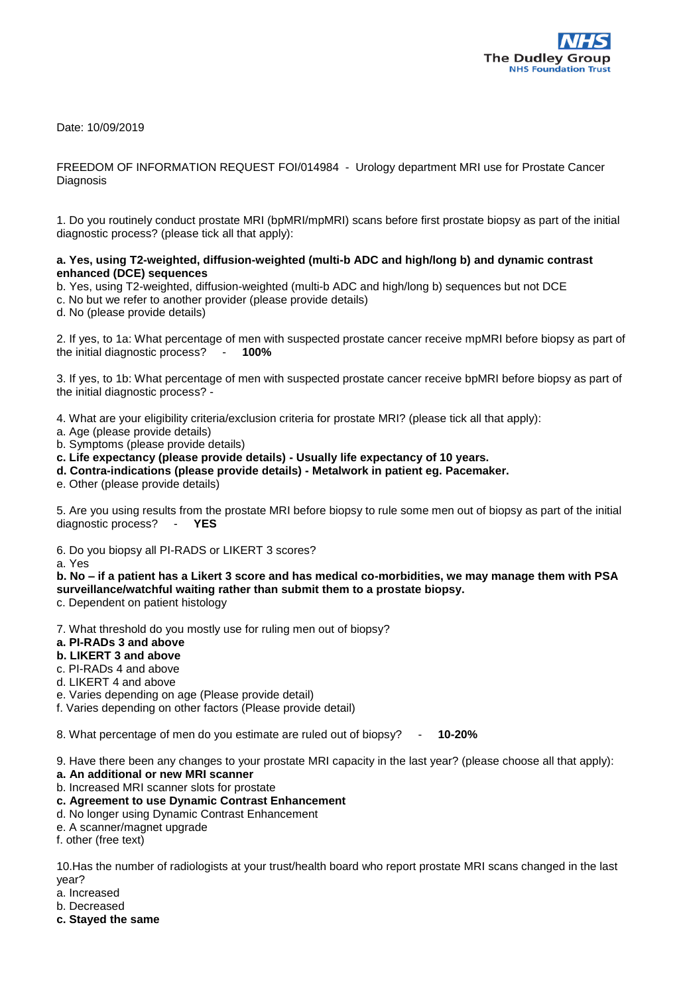

Date: 10/09/2019

## FREEDOM OF INFORMATION REQUEST FOI/014984 - Urology department MRI use for Prostate Cancer **Diagnosis**

1. Do you routinely conduct prostate MRI (bpMRI/mpMRI) scans before first prostate biopsy as part of the initial diagnostic process? (please tick all that apply):

## **a. Yes, using T2-weighted, diffusion-weighted (multi-b ADC and high/long b) and dynamic contrast enhanced (DCE) sequences**

- b. Yes, using T2-weighted, diffusion-weighted (multi-b ADC and high/long b) sequences but not DCE
- c. No but we refer to another provider (please provide details)
- d. No (please provide details)

2. If yes, to 1a: What percentage of men with suspected prostate cancer receive mpMRI before biopsy as part of the initial diagnostic process? - **100%**

3. If yes, to 1b: What percentage of men with suspected prostate cancer receive bpMRI before biopsy as part of the initial diagnostic process? -

4. What are your eligibility criteria/exclusion criteria for prostate MRI? (please tick all that apply):

- a. Age (please provide details)
- b. Symptoms (please provide details)

**c. Life expectancy (please provide details) - Usually life expectancy of 10 years.**

**d. Contra-indications (please provide details) - Metalwork in patient eg. Pacemaker.**

e. Other (please provide details)

5. Are you using results from the prostate MRI before biopsy to rule some men out of biopsy as part of the initial diagnostic process? - **YES**

6. Do you biopsy all PI-RADS or LIKERT 3 scores?

a. Yes

**b. No – if a patient has a Likert 3 score and has medical co-morbidities, we may manage them with PSA surveillance/watchful waiting rather than submit them to a prostate biopsy.**

c. Dependent on patient histology

7. What threshold do you mostly use for ruling men out of biopsy?

## **a. PI-RADs 3 and above**

- **b. LIKERT 3 and above**
- c. PI-RADs 4 and above
- d. LIKERT 4 and above
- e. Varies depending on age (Please provide detail)
- f. Varies depending on other factors (Please provide detail)

8. What percentage of men do you estimate are ruled out of biopsy? - **10-20%**

9. Have there been any changes to your prostate MRI capacity in the last year? (please choose all that apply):

- **a. An additional or new MRI scanner**
- b. Increased MRI scanner slots for prostate
- **c. Agreement to use Dynamic Contrast Enhancement**
- d. No longer using Dynamic Contrast Enhancement
- e. A scanner/magnet upgrade

f. other (free text)

10.Has the number of radiologists at your trust/health board who report prostate MRI scans changed in the last year?

- a. Increased
- b. Decreased
- **c. Stayed the same**